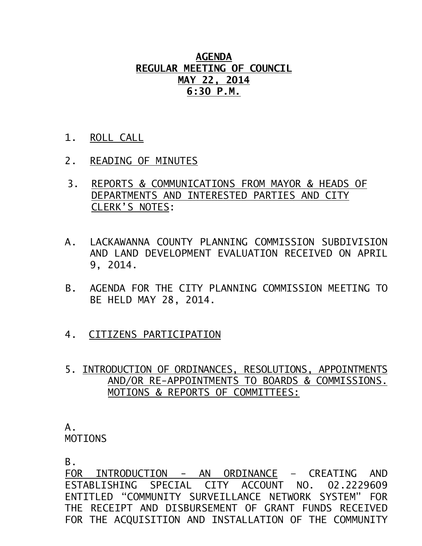**AGENDA REGULAR MEETING OF COUNCIL MAY 22, 2014 6:30 P.M.**

- 1. ROLL CALL
- 2. READING OF MINUTES
- 3. REPORTS & COMMUNICATIONS FROM MAYOR & HEADS OF DEPARTMENTS AND INTERESTED PARTIES AND CITY CLERK'S NOTES:
- A. LACKAWANNA COUNTY PLANNING COMMISSION SUBDIVISION AND LAND DEVELOPMENT EVALUATION RECEIVED ON APRIL 9, 2014.
- B. AGENDA FOR THE CITY PLANNING COMMISSION MEETING TO BE HELD MAY 28, 2014.
- 4. CITIZENS PARTICIPATION
- 5. INTRODUCTION OF ORDINANCES, RESOLUTIONS, APPOINTMENTS AND/OR RE-APPOINTMENTS TO BOARDS & COMMISSIONS. MOTIONS & REPORTS OF COMMITTEES:

## A. MOTIONS

B.

FOR INTRODUCTION - AN ORDINANCE – CREATING AND ESTABLISHING SPECIAL CITY ACCOUNT NO. 02.2229609 ENTITLED "COMMUNITY SURVEILLANCE NETWORK SYSTEM" FOR THE RECEIPT AND DISBURSEMENT OF GRANT FUNDS RECEIVED FOR THE ACQUISITION AND INSTALLATION OF THE COMMUNITY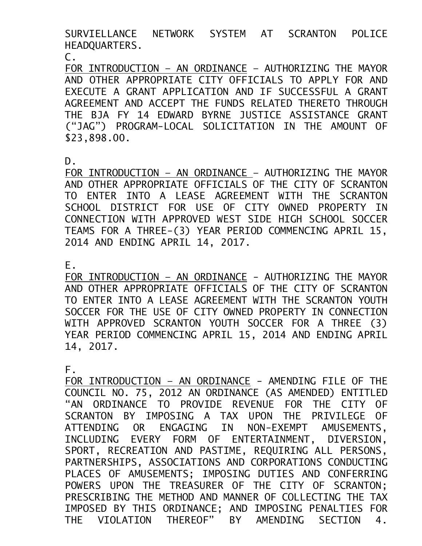SURVIELLANCE NETWORK SYSTEM AT SCRANTON POLICE HEADQUARTERS.

C.

FOR INTRODUCTION – AN ORDINANCE – AUTHORIZING THE MAYOR AND OTHER APPROPRIATE CITY OFFICIALS TO APPLY FOR AND EXECUTE A GRANT APPLICATION AND IF SUCCESSFUL A GRANT AGREEMENT AND ACCEPT THE FUNDS RELATED THERETO THROUGH THE BJA FY 14 EDWARD BYRNE JUSTICE ASSISTANCE GRANT ("JAG") PROGRAM-LOCAL SOLICITATION IN THE AMOUNT OF \$23,898.00.

D.

FOR INTRODUCTION – AN ORDINANCE – AUTHORIZING THE MAYOR AND OTHER APPROPRIATE OFFICIALS OF THE CITY OF SCRANTON TO ENTER INTO A LEASE AGREEMENT WITH THE SCRANTON SCHOOL DISTRICT FOR USE OF CITY OWNED PROPERTY IN CONNECTION WITH APPROVED WEST SIDE HIGH SCHOOL SOCCER TEAMS FOR A THREE-(3) YEAR PERIOD COMMENCING APRIL 15, 2014 AND ENDING APRIL 14, 2017.

E.

FOR INTRODUCTION - AN ORDINANCE - AUTHORIZING THE MAYOR AND OTHER APPROPRIATE OFFICIALS OF THE CITY OF SCRANTON TO ENTER INTO A LEASE AGREEMENT WITH THE SCRANTON YOUTH SOCCER FOR THE USE OF CITY OWNED PROPERTY IN CONNECTION WITH APPROVED SCRANTON YOUTH SOCCER FOR A THREE (3) YEAR PERIOD COMMENCING APRIL 15, 2014 AND ENDING APRIL 14, 2017.

F.

FOR INTRODUCTION - AN ORDINANCE - AMENDING FILE OF THE COUNCIL NO. 75, 2012 AN ORDINANCE (AS AMENDED) ENTITLED "AN ORDINANCE TO PROVIDE REVENUE FOR THE CITY OF SCRANTON BY IMPOSING A TAX UPON THE PRIVILEGE OF ATTENDING OR ENGAGING IN NON-EXEMPT AMUSEMENTS, INCLUDING EVERY FORM OF ENTERTAINMENT, DIVERSION, SPORT, RECREATION AND PASTIME, REQUIRING ALL PERSONS, PARTNERSHIPS, ASSOCIATIONS AND CORPORATIONS CONDUCTING PLACES OF AMUSEMENTS; IMPOSING DUTIES AND CONFERRING POWERS UPON THE TREASURER OF THE CITY OF SCRANTON; PRESCRIBING THE METHOD AND MANNER OF COLLECTING THE TAX IMPOSED BY THIS ORDINANCE; AND IMPOSING PENALTIES FOR THE VIOLATION THEREOF" BY AMENDING SECTION 4.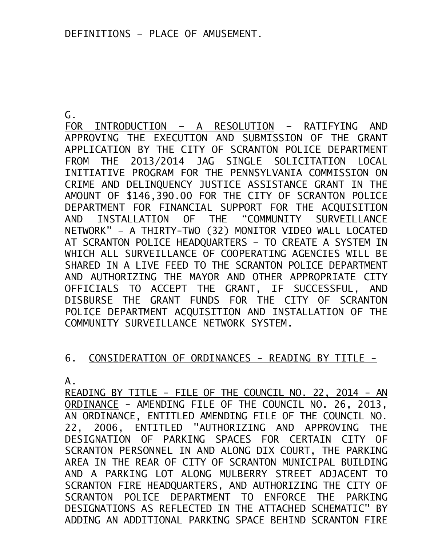G.

FOR INTRODUCTION – A RESOLUTION – RATIFYING AND APPROVING THE EXECUTION AND SUBMISSION OF THE GRANT APPLICATION BY THE CITY OF SCRANTON POLICE DEPARTMENT FROM THE 2013/2014 JAG SINGLE SOLICITATION LOCAL INITIATIVE PROGRAM FOR THE PENNSYLVANIA COMMISSION ON CRIME AND DELINQUENCY JUSTICE ASSISTANCE GRANT IN THE AMOUNT OF \$146,390.00 FOR THE CITY OF SCRANTON POLICE DEPARTMENT FOR FINANCIAL SUPPORT FOR THE ACQUISITION AND INSTALLATION OF THE "COMMUNITY SURVEILLANCE NETWORK" – A THIRTY-TWO (32) MONITOR VIDEO WALL LOCATED AT SCRANTON POLICE HEADQUARTERS – TO CREATE A SYSTEM IN WHICH ALL SURVEILLANCE OF COOPERATING AGENCIES WILL BE SHARED IN A LIVE FEED TO THE SCRANTON POLICE DEPARTMENT AND AUTHORIZING THE MAYOR AND OTHER APPROPRIATE CITY OFFICIALS TO ACCEPT THE GRANT, IF SUCCESSFUL, AND DISBURSE THE GRANT FUNDS FOR THE CITY OF SCRANTON POLICE DEPARTMENT ACQUISITION AND INSTALLATION OF THE COMMUNITY SURVEILLANCE NETWORK SYSTEM.

## 6. CONSIDERATION OF ORDINANCES - READING BY TITLE -

A.

READING BY TITLE - FILE OF THE COUNCIL NO. 22, 2014 - AN ORDINANCE - AMENDING FILE OF THE COUNCIL NO. 26, 2013, AN ORDINANCE, ENTITLED AMENDING FILE OF THE COUNCIL NO. 22, 2006, ENTITLED "AUTHORIZING AND APPROVING THE DESIGNATION OF PARKING SPACES FOR CERTAIN CITY OF SCRANTON PERSONNEL IN AND ALONG DIX COURT, THE PARKING AREA IN THE REAR OF CITY OF SCRANTON MUNICIPAL BUILDING AND A PARKING LOT ALONG MULBERRY STREET ADJACENT TO SCRANTON FIRE HEADQUARTERS, AND AUTHORIZING THE CITY OF SCRANTON POLICE DEPARTMENT TO ENFORCE THE PARKING DESIGNATIONS AS REFLECTED IN THE ATTACHED SCHEMATIC" BY ADDING AN ADDITIONAL PARKING SPACE BEHIND SCRANTON FIRE